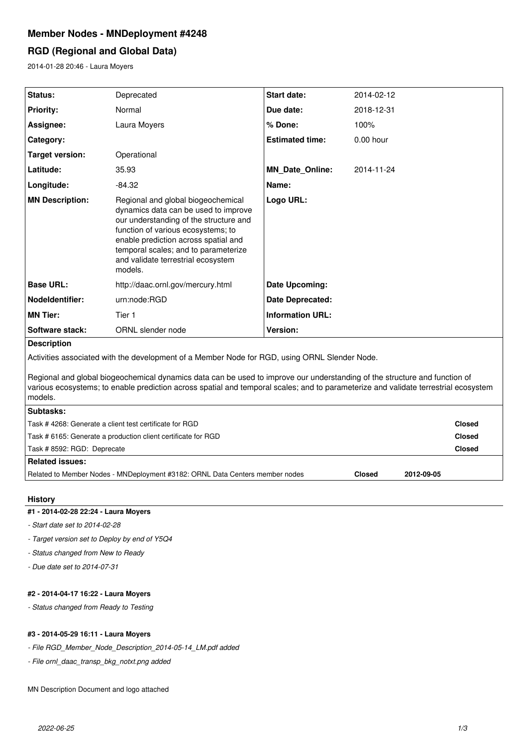# **Member Nodes - MNDeployment #4248**

# **RGD (Regional and Global Data)**

2014-01-28 20:46 - Laura Moyers

| Status:                                                                                                                                                                                                                                                                      | Deprecated                                                                                                                                                                                                                                                                                  | <b>Start date:</b>      | 2014-02-12  |               |  |
|------------------------------------------------------------------------------------------------------------------------------------------------------------------------------------------------------------------------------------------------------------------------------|---------------------------------------------------------------------------------------------------------------------------------------------------------------------------------------------------------------------------------------------------------------------------------------------|-------------------------|-------------|---------------|--|
| <b>Priority:</b>                                                                                                                                                                                                                                                             | Normal                                                                                                                                                                                                                                                                                      | Due date:               | 2018-12-31  |               |  |
| Assignee:                                                                                                                                                                                                                                                                    | Laura Moyers                                                                                                                                                                                                                                                                                | % Done:                 | 100%        |               |  |
| Category:                                                                                                                                                                                                                                                                    |                                                                                                                                                                                                                                                                                             | <b>Estimated time:</b>  | $0.00$ hour |               |  |
| <b>Target version:</b>                                                                                                                                                                                                                                                       | Operational                                                                                                                                                                                                                                                                                 |                         |             |               |  |
| Latitude:                                                                                                                                                                                                                                                                    | 35.93                                                                                                                                                                                                                                                                                       | <b>MN Date Online:</b>  | 2014-11-24  |               |  |
| Longitude:                                                                                                                                                                                                                                                                   | $-84.32$                                                                                                                                                                                                                                                                                    | Name:                   |             |               |  |
| <b>MN Description:</b>                                                                                                                                                                                                                                                       | Regional and global biogeochemical<br>dynamics data can be used to improve<br>our understanding of the structure and<br>function of various ecosystems; to<br>enable prediction across spatial and<br>temporal scales; and to parameterize<br>and validate terrestrial ecosystem<br>models. | Logo URL:               |             |               |  |
| <b>Base URL:</b>                                                                                                                                                                                                                                                             | http://daac.ornl.gov/mercury.html                                                                                                                                                                                                                                                           | Date Upcoming:          |             |               |  |
| Nodeldentifier:                                                                                                                                                                                                                                                              | urn:node:RGD                                                                                                                                                                                                                                                                                | Date Deprecated:        |             |               |  |
| <b>MN Tier:</b>                                                                                                                                                                                                                                                              | Tier 1                                                                                                                                                                                                                                                                                      | <b>Information URL:</b> |             |               |  |
| Software stack:                                                                                                                                                                                                                                                              | ORNL slender node                                                                                                                                                                                                                                                                           | Version:                |             |               |  |
| <b>Description</b>                                                                                                                                                                                                                                                           |                                                                                                                                                                                                                                                                                             |                         |             |               |  |
| Activities associated with the development of a Member Node for RGD, using ORNL Slender Node.                                                                                                                                                                                |                                                                                                                                                                                                                                                                                             |                         |             |               |  |
| Regional and global biogeochemical dynamics data can be used to improve our understanding of the structure and function of<br>various ecosystems; to enable prediction across spatial and temporal scales; and to parameterize and validate terrestrial ecosystem<br>models. |                                                                                                                                                                                                                                                                                             |                         |             |               |  |
| Subtasks:                                                                                                                                                                                                                                                                    |                                                                                                                                                                                                                                                                                             |                         |             |               |  |
| Task #4268: Generate a client test certificate for RGD                                                                                                                                                                                                                       |                                                                                                                                                                                                                                                                                             |                         |             | <b>Closed</b> |  |
| Task # 6165: Generate a production client certificate for RGD                                                                                                                                                                                                                |                                                                                                                                                                                                                                                                                             |                         |             | <b>Closed</b> |  |
| Task # 8592: RGD: Deprecate                                                                                                                                                                                                                                                  |                                                                                                                                                                                                                                                                                             |                         |             | <b>Closed</b> |  |

# **Related issues:**

Related to Member Nodes - MNDeployment #3182: ORNL Data Centers member nodes **Closed 2012-09-05**

**History**

# **#1 - 2014-02-28 22:24 - Laura Moyers**

*- Start date set to 2014-02-28*

*- Target version set to Deploy by end of Y5Q4*

*- Status changed from New to Ready*

*- Due date set to 2014-07-31*

# **#2 - 2014-04-17 16:22 - Laura Moyers**

*- Status changed from Ready to Testing*

### **#3 - 2014-05-29 16:11 - Laura Moyers**

*- File RGD\_Member\_Node\_Description\_2014-05-14\_LM.pdf added*

*- File ornl\_daac\_transp\_bkg\_notxt.png added*

MN Description Document and logo attached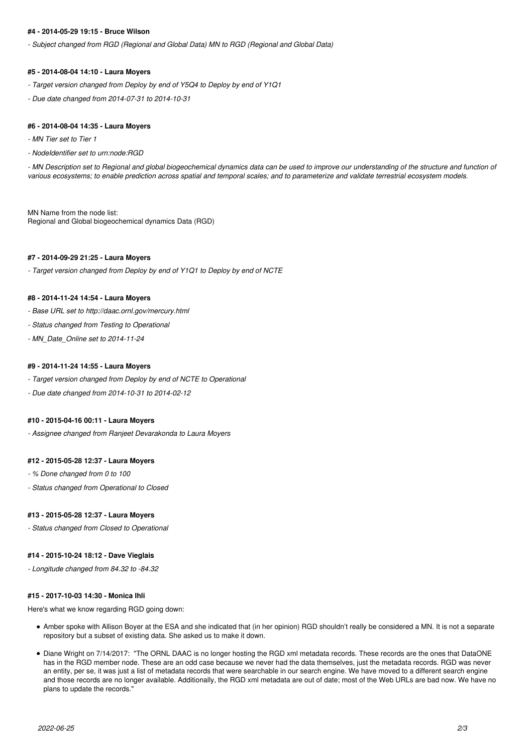### **#4 - 2014-05-29 19:15 - Bruce Wilson**

*- Subject changed from RGD (Regional and Global Data) MN to RGD (Regional and Global Data)*

### **#5 - 2014-08-04 14:10 - Laura Moyers**

- *Target version changed from Deploy by end of Y5Q4 to Deploy by end of Y1Q1*
- *Due date changed from 2014-07-31 to 2014-10-31*

#### **#6 - 2014-08-04 14:35 - Laura Moyers**

- *MN Tier set to Tier 1*
- *NodeIdentifier set to urn:node:RGD*

*- MN Description set to Regional and global biogeochemical dynamics data can be used to improve our understanding of the structure and function of various ecosystems; to enable prediction across spatial and temporal scales; and to parameterize and validate terrestrial ecosystem models.*

MN Name from the node list: Regional and Global biogeochemical dynamics Data (RGD)

#### **#7 - 2014-09-29 21:25 - Laura Moyers**

*- Target version changed from Deploy by end of Y1Q1 to Deploy by end of NCTE*

#### **#8 - 2014-11-24 14:54 - Laura Moyers**

- *Base URL set to http://daac.ornl.gov/mercury.html*
- *Status changed from Testing to Operational*
- *MN\_Date\_Online set to 2014-11-24*

#### **#9 - 2014-11-24 14:55 - Laura Moyers**

- *Target version changed from Deploy by end of NCTE to Operational*
- *Due date changed from 2014-10-31 to 2014-02-12*

#### **#10 - 2015-04-16 00:11 - Laura Moyers**

*- Assignee changed from Ranjeet Devarakonda to Laura Moyers*

### **#12 - 2015-05-28 12:37 - Laura Moyers**

- *% Done changed from 0 to 100*
- *Status changed from Operational to Closed*

#### **#13 - 2015-05-28 12:37 - Laura Moyers**

*- Status changed from Closed to Operational*

#### **#14 - 2015-10-24 18:12 - Dave Vieglais**

*- Longitude changed from 84.32 to -84.32*

## **#15 - 2017-10-03 14:30 - Monica Ihli**

Here's what we know regarding RGD going down:

- Amber spoke with Allison Boyer at the ESA and she indicated that (in her opinion) RGD shouldn't really be considered a MN. It is not a separate repository but a subset of existing data. She asked us to make it down.
- Diane Wright on 7/14/2017: "The ORNL DAAC is no longer hosting the RGD xml metadata records. These records are the ones that DataONE has in the RGD member node. These are an odd case because we never had the data themselves, just the metadata records. RGD was never an entity, per se, it was just a list of metadata records that were searchable in our search engine. We have moved to a different search engine and those records are no longer available. Additionally, the RGD xml metadata are out of date; most of the Web URLs are bad now. We have no plans to update the records."